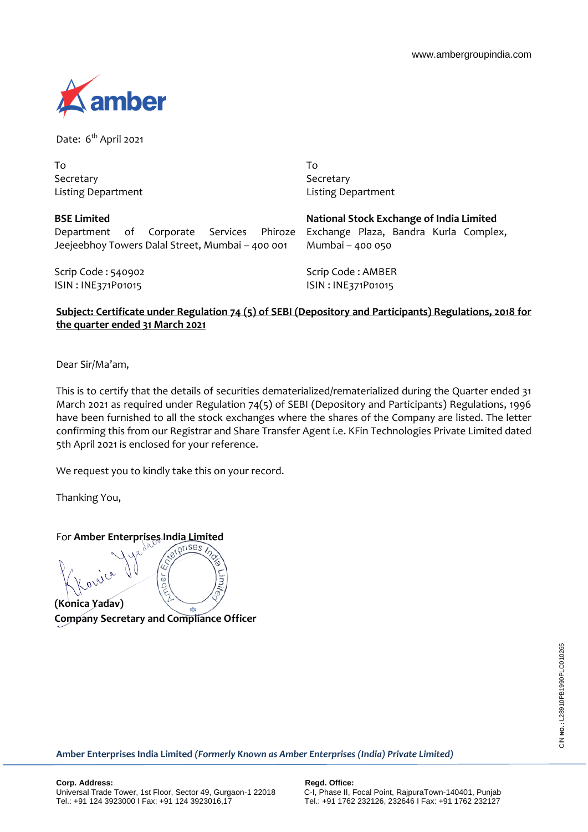

Date: 6<sup>th</sup> April 2021

| To                        |  |
|---------------------------|--|
| Secretary                 |  |
| <b>Listing Department</b> |  |

**BSE Limited**

To Secretary Listing Department

| <b>BSE LIMITED</b>                               |  |  |  |  |  |  |
|--------------------------------------------------|--|--|--|--|--|--|
| Department of Corporate Services Phiroze         |  |  |  |  |  |  |
| Jeejeebhoy Towers Dalal Street, Mumbai – 400 001 |  |  |  |  |  |  |

**National Stock Exchange of India Limited** Exchange Plaza, Bandra Kurla Complex, Mumbai – 400 050

Scrip Code : 540902 ISIN : INE371P01015

Scrip Code : AMBER ISIN : INE371P01015

## **Subject: Certificate under Regulation 74 (5) of SEBI (Depository and Participants) Regulations, 2018 for the quarter ended 31 March 2021**

Dear Sir/Ma'am,

This is to certify that the details of securities dematerialized/rematerialized during the Quarter ended 31 March 2021 as required under Regulation 74(5) of SEBI (Depository and Participants) Regulations, 1996 have been furnished to all the stock exchanges where the shares of the Company are listed. The letter confirming this from our Registrar and Share Transfer Agent i.e. KFin Technologies Private Limited dated 5th April 2021 is enclosed for your reference.

We request you to kindly take this on your record.

Thanking You,

For **Amber Enterprises India Limited**

ר<br>נו èr **(Konica Yadav) Company Secretary and Compliance Officer**

**Amber Enterprises India Limited** *(Formerly Known as Amber Enterprises (India) Private Limited)*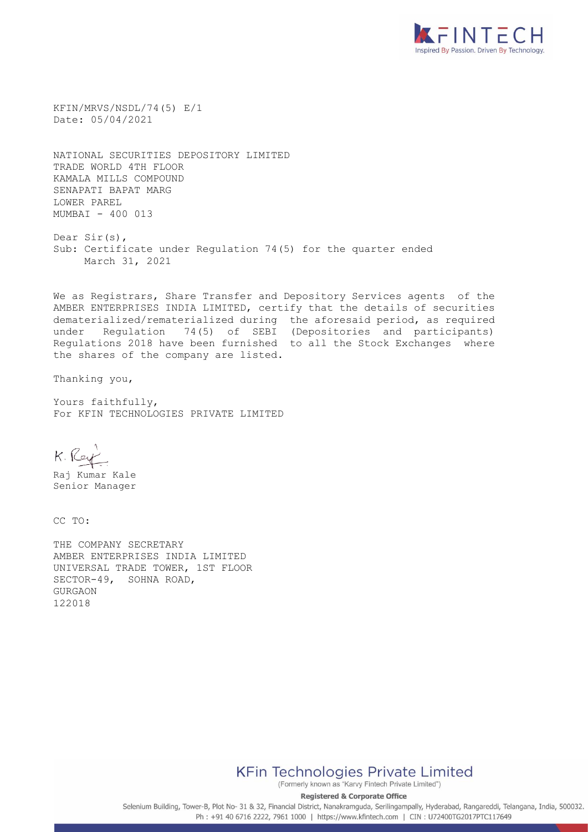

KFIN/MRVS/NSDL/74(5) E/1 Date: 05/04/2021

NATIONAL SECURITIES DEPOSITORY LIMITED TRADE WORLD 4TH FLOOR KAMALA MILLS COMPOUND SENAPATI BAPAT MARG LOWER PAREL MUMBAI - 400 013

Dear Sir(s), Sub: Certificate under Regulation 74(5) for the quarter ended March 31, 2021

We as Registrars, Share Transfer and Depository Services agents of the AMBER ENTERPRISES INDIA LIMITED, certify that the details of securities dematerialized/rematerialized during the aforesaid period, as required under Regulation 74(5) of SEBI (Depositories and participants) Regulations 2018 have been furnished to all the Stock Exchanges where the shares of the company are listed.

Thanking you,

Yours faithfully, For KFIN TECHNOLOGIES PRIVATE LIMITED

K. Rey

Raj Kumar Kale Senior Manager

CC TO:

THE COMPANY SECRETARY AMBER ENTERPRISES INDIA LIMITED UNIVERSAL TRADE TOWER, 1ST FLOOR SECTOR-49, SOHNA ROAD, GURGAON 122018

**KFin Technologies Private Limited** 

(Formerly known as "Karvy Fintech Private Limited") **Registered & Corporate Office** 

Selenium Building, Tower-B, Plot No- 31 & 32, Financial District, Nanakramguda, Serilingampally, Hyderabad, Rangareddi, Telangana, India, 500032. Ph: +91 40 6716 2222, 7961 1000 | https://www.kfintech.com | CIN: U72400TG2017PTC117649